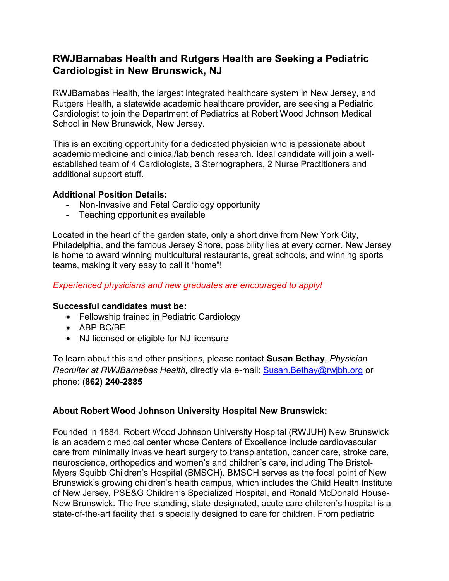# **RWJBarnabas Health and Rutgers Health are Seeking a Pediatric Cardiologist in New Brunswick, NJ**

RWJBarnabas Health, the largest integrated healthcare system in New Jersey, and Rutgers Health, a statewide academic healthcare provider, are seeking a Pediatric Cardiologist to join the Department of Pediatrics at Robert Wood Johnson Medical School in New Brunswick, New Jersey.

This is an exciting opportunity for a dedicated physician who is passionate about academic medicine and clinical/lab bench research. Ideal candidate will join a wellestablished team of 4 Cardiologists, 3 Sternographers, 2 Nurse Practitioners and additional support stuff.

# **Additional Position Details:**

- Non-Invasive and Fetal Cardiology opportunity
- Teaching opportunities available

Located in the heart of the garden state, only a short drive from New York City, Philadelphia, and the famous Jersey Shore, possibility lies at every corner. New Jersey is home to award winning multicultural restaurants, great schools, and winning sports teams, making it very easy to call it "home"!

# *Experienced physicians and new graduates are encouraged to apply!*

### **Successful candidates must be:**

- Fellowship trained in Pediatric Cardiology
- ABP BC/BE
- NJ licensed or eligible for NJ licensure

To learn about this and other positions, please contact **Susan Bethay**, *Physician Recruiter at RWJBarnabas Health,* directly via e-mail: [Susan.Bethay@rwjbh.org](mailto:Susan.Bethay@rwjbh.org) or phone: (**862) 240-2885**

# **About Robert Wood Johnson University Hospital New Brunswick:**

Founded in 1884, Robert Wood Johnson University Hospital (RWJUH) New Brunswick is an academic medical center whose Centers of Excellence include cardiovascular care from minimally invasive heart surgery to transplantation, cancer care, stroke care, neuroscience, orthopedics and women's and children's care, including The Bristol‐ Myers Squibb Children's Hospital (BMSCH). BMSCH serves as the focal point of New Brunswick's growing children's health campus, which includes the Child Health Institute of New Jersey, PSE&G Children's Specialized Hospital, and Ronald McDonald House‐ New Brunswick. The free‐standing, state‐designated, acute care children's hospital is a state-of-the-art facility that is specially designed to care for children. From pediatric